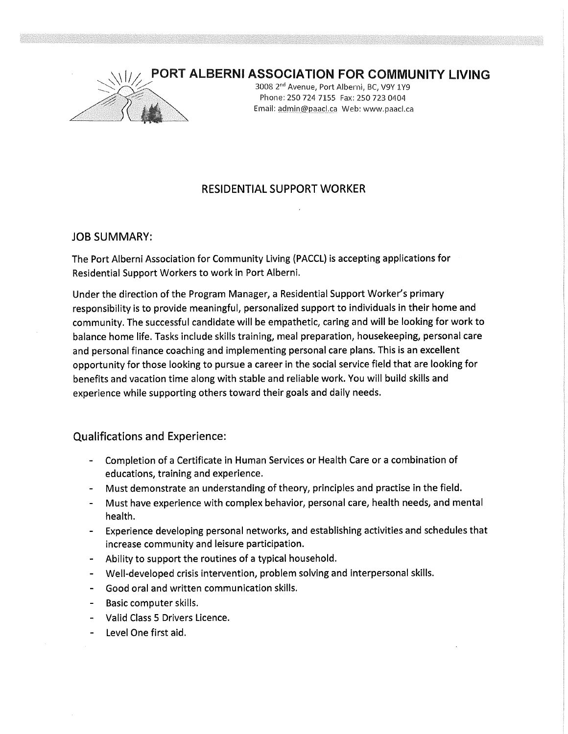## PORT ALBERNI ASSOCIATION FOR COMMUNITY LIVING



3008 2<sup>nd</sup> Avenue, Port Alberni, BC, V9Y 1Y9 Phone: 250 724 7155 Fax: 250 723 0404 Email: admin@paacl.ca Web: www.paacl.ca

## RESIDENTIAL SUPPORT WORKER

## JOB SUMMARY:

The Port Alberni Association for Community Living (PACCL) is accepting applications for Residential Support Workers to work in Port Alberni.

Under the direction of the Program Manager, a Residential Support Worker's primary responsibility is to provide meaningful, personalized support to individuals in their home and community. The successful candidate will be empathetic, caring and will be looking for work to balance home life. Tasks include skills training, meal preparation, housekeeping, personal care and personal finance coaching and implementing personal care plans. This is an excellent opportunity for those looking to pursue a career in the social service field that are looking for benefits and vacation time along with stable and reliable work. You will build skills and experience while supporting others toward their goals and daily needs.

## Qualifications and Experience:

- Completion of a Certificate in Human Services or Health Care or a combination of educations, training and experience.
- Must demonstrate an understanding of theory, principles and practise in the field.
- Must have experience with complex behavior, personal care, health needs, and mental health.
- Experience developing personal networks, and establishing activities and schedules that increase community and leisure participation.
- Ability to support the routines of a typical household.
- Well-developed crisis intervention, problem solving and interpersonal skills.
- Good oral and written communication skills.
- Basic computer skills.
- Valid Class 5 Drivers Licence.
- Level One first aid.